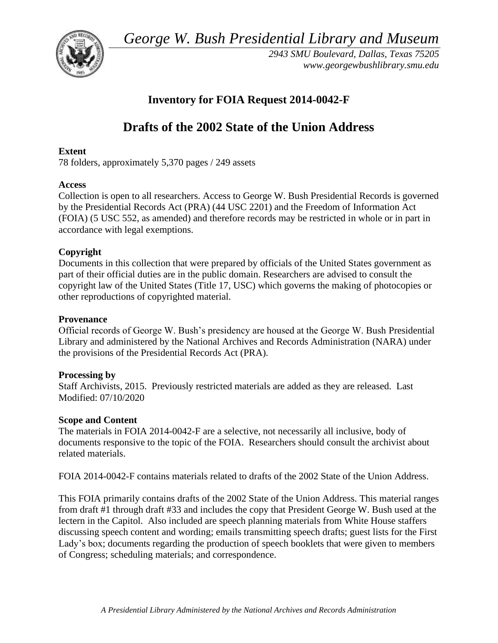*George W. Bush Presidential Library and Museum* 



*2943 SMU Boulevard, Dallas, Texas 75205 <www.georgewbushlibrary.smu.edu>*

# **Inventory for FOIA Request 2014-0042-F**

# **Drafts of the 2002 State of the Union Address**

## **Extent**

78 folders, approx imately 5,370 pages / 249 assets

# **Access**

Collection is open to all researchers. Access to George W. Bush Presidential Records is governed by the Presidential Records Act (PRA) (44 USC 2201) and the Freedom of Information Act (FOIA) (5 USC 552, as amended) and therefore records may be restricted in whole or in part in accordance with legal exemptions.

# **Copyright**

Documents in this collection that were prepared by officials of the United States government as part of their official duties are in the public domain. Researchers are advised to consult the copyright law of the United States (Title 17, USC) which governs the making of photocopies or other reproductions of copyrighted material.

## **Provenance**

 Official records of George W. Bush's presidency are housed at the George W. Bush Presidential Library and administered by the National Archives and Records Administration (NARA) under the provisions of the Presidential Records Act (PRA).

## **Processing by**

Staff Archivists, 2015. Previously restricted materials are added as they are released. Last Modified: 07/10/2020

## **Scope and Content**

 The materials in FOIA 2014-0042-F are a selective, not necessarily all inclusive, body of documents responsive to the topic of the FOIA. Researchers should consult the archivist about related materials.

FOIA 2014-0042-F contains materials related to drafts of the 2002 State of the Union Address.

 lectern in the Capitol. Also included are speech planning materials from White House staffers This FOIA primarily contains drafts of the 2002 State of the Union Address. This material ranges from draft #1 through draft #33 and includes the copy that President George W. Bush used at the discussing speech content and wording; emails transmitting speech drafts; guest lists for the First Lady's box; documents regarding the production of speech booklets that were given to members of Congress; scheduling materials; and correspondence.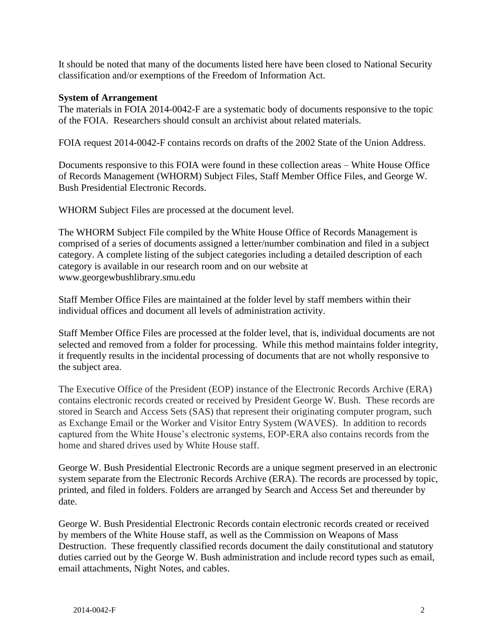It should be noted that many of the documents listed here have been closed to National Security classification and/or exemptions of the Freedom of Information Act.

## **System of Arrangement**

 The materials in FOIA 2014-0042-F are a systematic body of documents responsive to the topic of the FOIA. Researchers should consult an archivist about related materials.

FOIA request 2014-0042-F contains records on drafts of the 2002 State of the Union Address.

Documents responsive to this FOIA were found in these collection areas – White House Office of Records Management (WHORM) Subject Files, Staff Member Office Files, and George W. Bush Presidential Electronic Records.

WHORM Subject Files are processed at the document level.

The WHORM Subject File compiled by the White House Office of Records Management is comprised of a series of documents assigned a letter/number combination and filed in a subject category. A complete listing of the subject categories including a detailed description of each category is available in our research room and on our website at <www.georgewbushlibrary.smu.edu>

Staff Member Office Files are maintained at the folder level by staff members within their individual offices and document all levels of administration activity.

Staff Member Office Files are processed at the folder level, that is, individual documents are not selected and removed from a folder for processing. While this method maintains folder integrity, it frequently results in the incidental processing of documents that are not wholly responsive to the subject area.

The Executive Office of the President (EOP) instance of the Electronic Records Archive (ERA) contains electronic records created or received by President George W. Bush. These records are stored in Search and Access Sets (SAS) that represent their originating computer program, such as Exchange Email or the Worker and Visitor Entry System (WAVES). In addition to records captured from the White House's electronic systems, EOP-ERA also contains records from the home and shared drives used by White House staff.

George W. Bush Presidential Electronic Records are a unique segment preserved in an electronic system separate from the Electronic Records Archive (ERA). The records are processed by topic, printed, and filed in folders. Folders are arranged by Search and Access Set and thereunder by date.

George W. Bush Presidential Electronic Records contain electronic records created or received by members of the White House staff, as well as the Commission on Weapons of Mass Destruction. These frequently classified records document the daily constitutional and statutory duties carried out by the George W. Bush administration and include record types such as email, email attachments, Night Notes, and cables.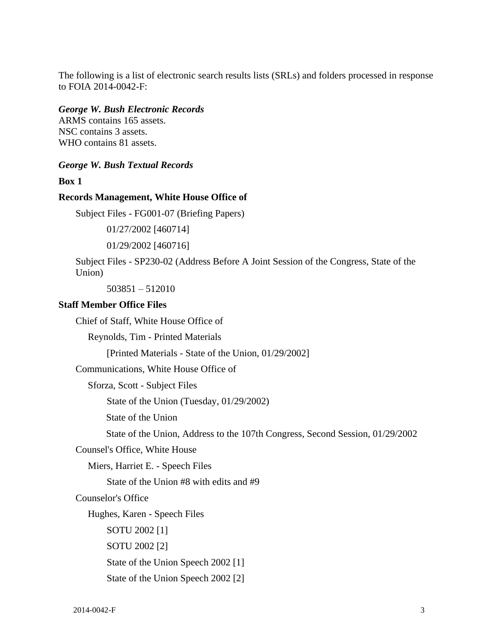The following is a list of electronic search results lists (SRLs) and folders processed in response to FOIA 2014-0042-F:

### *George W. Bush Electronic Records*

ARMS contains 165 assets. NSC contains 3 assets. WHO contains 81 assets.

## *George W. Bush Textual Records*

**Box 1** 

#### **Records Management, White House Office of**

Subject Files - FG001-07 (Briefing Papers)

01/27/2002 [460714]

01/29/2002 [460716]

Subject Files - SP230-02 (Address Before A Joint Session of the Congress, State of the Union)

503851 – 512010

#### **Staff Member Office Files**

Chief of Staff, White House Office of

Reynolds, Tim - Printed Materials

[Printed Materials - State of the Union, 01/29/2002]

Communications, White House Office of

Sforza, Scott - Subject Files

State of the Union (Tuesday, 01/29/2002)

State of the Union

State of the Union, Address to the 107th Congress, Second Session, 01/29/2002

Counsel's Office, White House

Miers, Harriet E. - Speech Files

State of the Union #8 with edits and #9

Counselor's Office

Hughes, Karen - Speech Files

SOTU 2002 [1]

SOTU 2002 [2]

State of the Union Speech 2002 [1]

State of the Union Speech 2002 [2]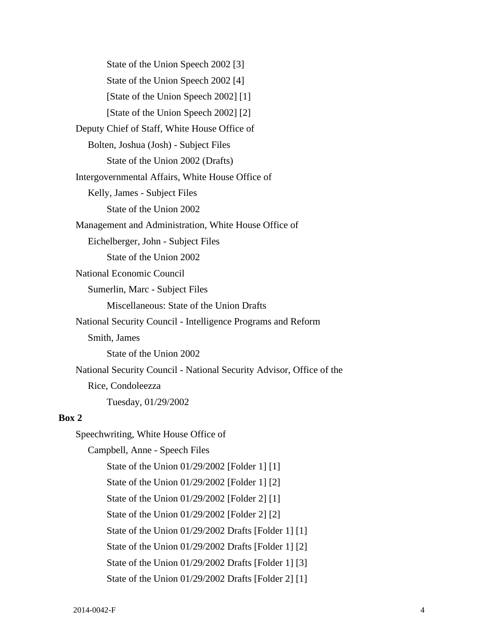State of the Union Speech 2002 [3] State of the Union Speech 2002 [4] [State of the Union Speech 2002] [1] [State of the Union Speech 2002] [2] Deputy Chief of Staff, White House Office of Bolten, Joshua (Josh) - Subject Files State of the Union 2002 (Drafts) Intergovernmental Affairs, White House Office of Kelly, James - Subject Files State of the Union 2002 Management and Administration, White House Office of Eichelberger, John - Subject Files State of the Union 2002 National Economic Council Sumerlin, Marc - Subject Files Miscellaneous: State of the Union Drafts National Security Council - Intelligence Programs and Reform Smith, James State of the Union 2002 National Security Council - National Security Advisor, Office of the Rice, Condoleezza Tuesday, 01/29/2002 **Box 2**  Speechwriting, White House Office of Campbell, Anne - Speech Files State of the Union 01/29/2002 [Folder 1] [1] State of the Union 01/29/2002 [Folder 1] [2] State of the Union 01/29/2002 [Folder 2] [1] State of the Union 01/29/2002 [Folder 2] [2]

State of the Union 01/29/2002 Drafts [Folder 1] [1]

State of the Union 01/29/2002 Drafts [Folder 1] [2]

State of the Union 01/29/2002 Drafts [Folder 1] [3]

State of the Union 01/29/2002 Drafts [Folder 2] [1]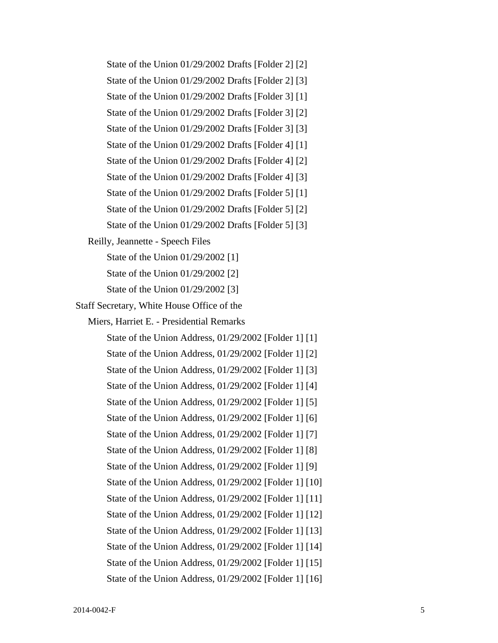State of the Union 01/29/2002 Drafts [Folder 2] [2] State of the Union 01/29/2002 Drafts [Folder 2] [3]

State of the Union 01/29/2002 Drafts [Folder 3] [1] State of the Union 01/29/2002 Drafts [Folder 3] [2]

State of the Union 01/29/2002 Drafts [Folder 3] [3]

State of the Union 01/29/2002 Drafts [Folder 4] [1]

State of the Union 01/29/2002 Drafts [Folder 4] [2]

State of the Union 01/29/2002 Drafts [Folder 4] [3]

State of the Union 01/29/2002 Drafts [Folder 5] [1]

State of the Union 01/29/2002 Drafts [Folder 5] [2]

State of the Union 01/29/2002 Drafts [Folder 5] [3]

Reilly, Jeannette - Speech Files

State of the Union 01/29/2002 [1]

State of the Union 01/29/2002 [2]

State of the Union 01/29/2002 [3]

Staff Secretary, White House Office of the

Miers, Harriet E. - Presidential Remarks

State of the Union Address, 01/29/2002 [Folder 1] [1] State of the Union Address, 01/29/2002 [Folder 1] [2] State of the Union Address, 01/29/2002 [Folder 1] [3] State of the Union Address, 01/29/2002 [Folder 1] [4] State of the Union Address, 01/29/2002 [Folder 1] [5] State of the Union Address, 01/29/2002 [Folder 1] [6] State of the Union Address, 01/29/2002 [Folder 1] [7] State of the Union Address, 01/29/2002 [Folder 1] [8] State of the Union Address, 01/29/2002 [Folder 1] [9] State of the Union Address, 01/29/2002 [Folder 1] [10] State of the Union Address, 01/29/2002 [Folder 1] [11] State of the Union Address, 01/29/2002 [Folder 1] [12] State of the Union Address, 01/29/2002 [Folder 1] [13] State of the Union Address, 01/29/2002 [Folder 1] [14] State of the Union Address, 01/29/2002 [Folder 1] [15] State of the Union Address, 01/29/2002 [Folder 1] [16]